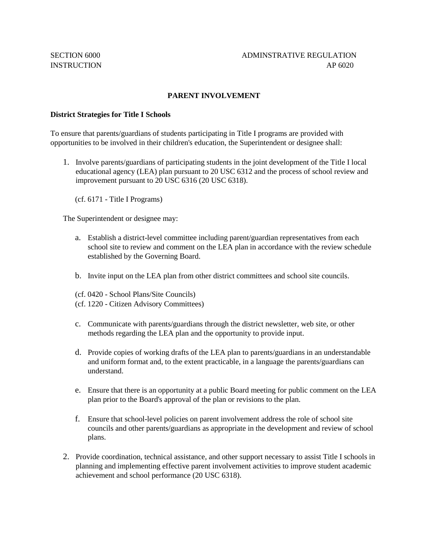## **PARENT INVOLVEMENT**

## **District Strategies for Title I Schools**

To ensure that parents/guardians of students participating in Title I programs are provided with opportunities to be involved in their children's education, the Superintendent or designee shall:

1. Involve parents/guardians of participating students in the joint development of the Title I local educational agency (LEA) plan pursuant to 20 USC 6312 and the process of school review and improvement pursuant to 20 USC 6316 (20 USC 6318).

(cf. 6171 - Title I Programs)

The Superintendent or designee may:

- a. Establish a district-level committee including parent/guardian representatives from each school site to review and comment on the LEA plan in accordance with the review schedule established by the Governing Board.
- b. Invite input on the LEA plan from other district committees and school site councils.
- (cf. 0420 School Plans/Site Councils)
- (cf. 1220 Citizen Advisory Committees)
- c. Communicate with parents/guardians through the district newsletter, web site, or other methods regarding the LEA plan and the opportunity to provide input.
- d. Provide copies of working drafts of the LEA plan to parents/guardians in an understandable and uniform format and, to the extent practicable, in a language the parents/guardians can understand.
- e. Ensure that there is an opportunity at a public Board meeting for public comment on the LEA plan prior to the Board's approval of the plan or revisions to the plan.
- f. Ensure that school-level policies on parent involvement address the role of school site councils and other parents/guardians as appropriate in the development and review of school plans.
- 2. Provide coordination, technical assistance, and other support necessary to assist Title I schools in planning and implementing effective parent involvement activities to improve student academic achievement and school performance (20 USC 6318).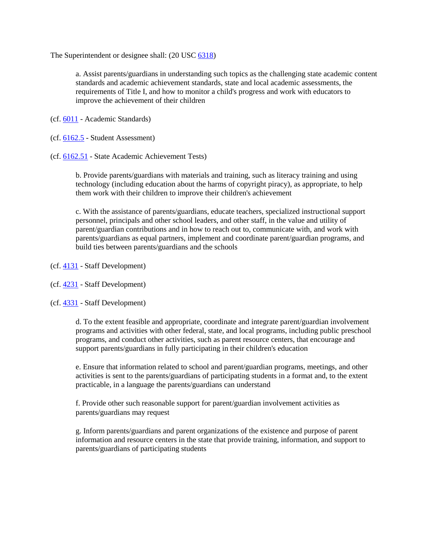The Superintendent or designee shall: (20 USC [6318\)](http://gamutonline.net/displayPolicy/302984/6)

a. Assist parents/guardians in understanding such topics as the challenging state academic content standards and academic achievement standards, state and local academic assessments, the requirements of Title I, and how to monitor a child's progress and work with educators to improve the achievement of their children

(cf. [6011](http://gamutonline.net/displayPolicy/211099/6) - Academic Standards)

- (cf. [6162.5](http://gamutonline.net/displayPolicy/909494/6) Student Assessment)
- (cf. [6162.51](http://gamutonline.net/displayPolicy/352670/6) State Academic Achievement Tests)

b. Provide parents/guardians with materials and training, such as literacy training and using technology (including education about the harms of copyright piracy), as appropriate, to help them work with their children to improve their children's achievement

c. With the assistance of parents/guardians, educate teachers, specialized instructional support personnel, principals and other school leaders, and other staff, in the value and utility of parent/guardian contributions and in how to reach out to, communicate with, and work with parents/guardians as equal partners, implement and coordinate parent/guardian programs, and build ties between parents/guardians and the schools

- (cf. [4131](http://gamutonline.net/displayPolicy/1002203/6) Staff Development)
- (cf. [4231](http://gamutonline.net/displayPolicy/1002207/6) Staff Development)

(cf. [4331](http://gamutonline.net/displayPolicy/171627/6) - Staff Development)

d. To the extent feasible and appropriate, coordinate and integrate parent/guardian involvement programs and activities with other federal, state, and local programs, including public preschool programs, and conduct other activities, such as parent resource centers, that encourage and support parents/guardians in fully participating in their children's education

e. Ensure that information related to school and parent/guardian programs, meetings, and other activities is sent to the parents/guardians of participating students in a format and, to the extent practicable, in a language the parents/guardians can understand

f. Provide other such reasonable support for parent/guardian involvement activities as parents/guardians may request

g. Inform parents/guardians and parent organizations of the existence and purpose of parent information and resource centers in the state that provide training, information, and support to parents/guardians of participating students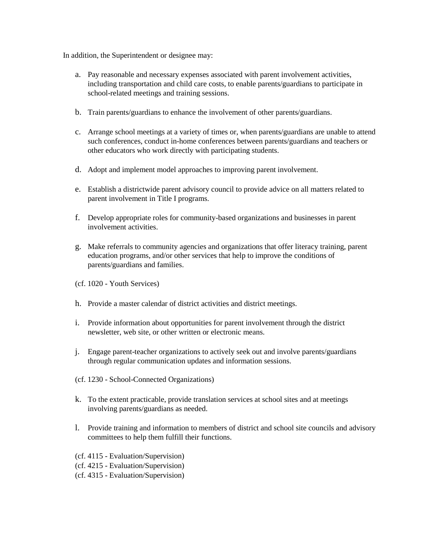In addition, the Superintendent or designee may:

- a. Pay reasonable and necessary expenses associated with parent involvement activities, including transportation and child care costs, to enable parents/guardians to participate in school-related meetings and training sessions.
- b. Train parents/guardians to enhance the involvement of other parents/guardians.
- c. Arrange school meetings at a variety of times or, when parents/guardians are unable to attend such conferences, conduct in-home conferences between parents/guardians and teachers or other educators who work directly with participating students.
- d. Adopt and implement model approaches to improving parent involvement.
- e. Establish a districtwide parent advisory council to provide advice on all matters related to parent involvement in Title I programs.
- f. Develop appropriate roles for community-based organizations and businesses in parent involvement activities.
- g. Make referrals to community agencies and organizations that offer literacy training, parent education programs, and/or other services that help to improve the conditions of parents/guardians and families.
- (cf. 1020 Youth Services)
- h. Provide a master calendar of district activities and district meetings.
- i. Provide information about opportunities for parent involvement through the district newsletter, web site, or other written or electronic means.
- j. Engage parent-teacher organizations to actively seek out and involve parents/guardians through regular communication updates and information sessions.
- (cf. 1230 School-Connected Organizations)
- k. To the extent practicable, provide translation services at school sites and at meetings involving parents/guardians as needed.
- l. Provide training and information to members of district and school site councils and advisory committees to help them fulfill their functions.
- (cf. 4115 Evaluation/Supervision)
- (cf. 4215 Evaluation/Supervision)
- (cf. 4315 Evaluation/Supervision)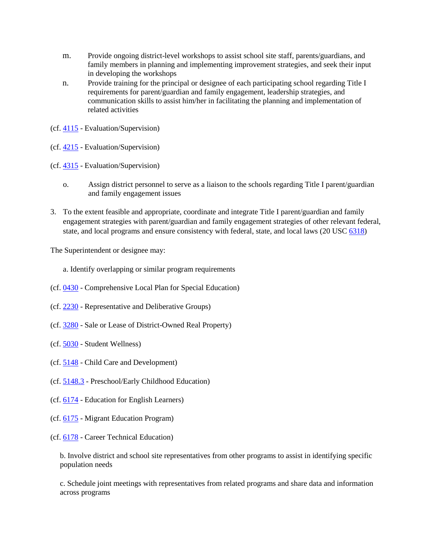- m. Provide ongoing district-level workshops to assist school site staff, parents/guardians, and family members in planning and implementing improvement strategies, and seek their input in developing the workshops
- n. Provide training for the principal or designee of each participating school regarding Title I requirements for parent/guardian and family engagement, leadership strategies, and communication skills to assist him/her in facilitating the planning and implementation of related activities
- (cf. [4115](http://gamutonline.net/displayPolicy/936014/6) Evaluation/Supervision)
- (cf. [4215](http://gamutonline.net/displayPolicy/171226/6) Evaluation/Supervision)
- (cf. [4315](http://gamutonline.net/displayPolicy/936019/6) Evaluation/Supervision)
	- o. Assign district personnel to serve as a liaison to the schools regarding Title I parent/guardian and family engagement issues
- 3. To the extent feasible and appropriate, coordinate and integrate Title I parent/guardian and family engagement strategies with parent/guardian and family engagement strategies of other relevant federal, state, and local programs and ensure consistency with federal, state, and local laws (20 USC [6318\)](http://gamutonline.net/displayPolicy/302984/6)

The Superintendent or designee may:

- a. Identify overlapping or similar program requirements
- (cf. [0430](http://gamutonline.net/displayPolicy/303887/6) Comprehensive Local Plan for Special Education)
- (cf. [2230](http://gamutonline.net/displayPolicy/244939/6) Representative and Deliberative Groups)
- (cf. [3280](http://gamutonline.net/displayPolicy/909476/6) Sale or Lease of District-Owned Real Property)
- (cf. [5030](http://gamutonline.net/displayPolicy/367951/6) Student Wellness)
- (cf. [5148](http://gamutonline.net/displayPolicy/1002210/6) Child Care and Development)
- (cf. [5148.3](http://gamutonline.net/displayPolicy/1002214/6) Preschool/Early Childhood Education)
- (cf. [6174](http://gamutonline.net/displayPolicy/288783/6) Education for English Learners)
- (cf. [6175](http://gamutonline.net/displayPolicy/303911/6) Migrant Education Program)
- (cf. [6178](http://gamutonline.net/displayPolicy/211110/6) Career Technical Education)

b. Involve district and school site representatives from other programs to assist in identifying specific population needs

c. Schedule joint meetings with representatives from related programs and share data and information across programs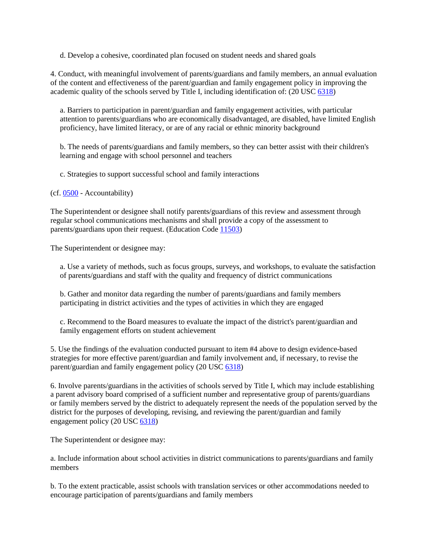d. Develop a cohesive, coordinated plan focused on student needs and shared goals

4. Conduct, with meaningful involvement of parents/guardians and family members, an annual evaluation of the content and effectiveness of the parent/guardian and family engagement policy in improving the academic quality of the schools served by Title I, including identification of: (20 USC [6318\)](http://gamutonline.net/displayPolicy/302984/6)

a. Barriers to participation in parent/guardian and family engagement activities, with particular attention to parents/guardians who are economically disadvantaged, are disabled, have limited English proficiency, have limited literacy, or are of any racial or ethnic minority background

b. The needs of parents/guardians and family members, so they can better assist with their children's learning and engage with school personnel and teachers

c. Strategies to support successful school and family interactions

(cf. [0500](http://gamutonline.net/displayPolicy/171712/6) - Accountability)

The Superintendent or designee shall notify parents/guardians of this review and assessment through regular school communications mechanisms and shall provide a copy of the assessment to parents/guardians upon their request. (Education Code [11503\)](http://gamutonline.net/displayPolicy/129642/6)

The Superintendent or designee may:

a. Use a variety of methods, such as focus groups, surveys, and workshops, to evaluate the satisfaction of parents/guardians and staff with the quality and frequency of district communications

b. Gather and monitor data regarding the number of parents/guardians and family members participating in district activities and the types of activities in which they are engaged

c. Recommend to the Board measures to evaluate the impact of the district's parent/guardian and family engagement efforts on student achievement

5. Use the findings of the evaluation conducted pursuant to item #4 above to design evidence-based strategies for more effective parent/guardian and family involvement and, if necessary, to revise the parent/guardian and family engagement policy (20 USC [6318\)](http://gamutonline.net/displayPolicy/302984/6)

6. Involve parents/guardians in the activities of schools served by Title I, which may include establishing a parent advisory board comprised of a sufficient number and representative group of parents/guardians or family members served by the district to adequately represent the needs of the population served by the district for the purposes of developing, revising, and reviewing the parent/guardian and family engagement policy (20 USC [6318\)](http://gamutonline.net/displayPolicy/302984/6)

The Superintendent or designee may:

a. Include information about school activities in district communications to parents/guardians and family members

b. To the extent practicable, assist schools with translation services or other accommodations needed to encourage participation of parents/guardians and family members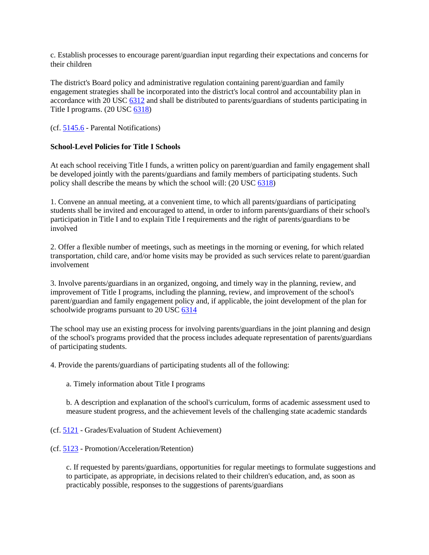c. Establish processes to encourage parent/guardian input regarding their expectations and concerns for their children

The district's Board policy and administrative regulation containing parent/guardian and family engagement strategies shall be incorporated into the district's local control and accountability plan in accordance with 20 USC [6312](http://gamutonline.net/displayPolicy/190143/6) and shall be distributed to parents/guardians of students participating in Title I programs. (20 USC [6318\)](http://gamutonline.net/displayPolicy/302984/6)

(cf. [5145.6](http://gamutonline.net/displayPolicy/222839/6) - Parental Notifications)

## **School-Level Policies for Title I Schools**

At each school receiving Title I funds, a written policy on parent/guardian and family engagement shall be developed jointly with the parents/guardians and family members of participating students. Such policy shall describe the means by which the school will: (20 USC [6318\)](http://gamutonline.net/displayPolicy/302984/6)

1. Convene an annual meeting, at a convenient time, to which all parents/guardians of participating students shall be invited and encouraged to attend, in order to inform parents/guardians of their school's participation in Title I and to explain Title I requirements and the right of parents/guardians to be involved

2. Offer a flexible number of meetings, such as meetings in the morning or evening, for which related transportation, child care, and/or home visits may be provided as such services relate to parent/guardian involvement

3. Involve parents/guardians in an organized, ongoing, and timely way in the planning, review, and improvement of Title I programs, including the planning, review, and improvement of the school's parent/guardian and family engagement policy and, if applicable, the joint development of the plan for schoolwide programs pursuant to 20 USC [6314](http://gamutonline.net/displayPolicy/302980/6)

The school may use an existing process for involving parents/guardians in the joint planning and design of the school's programs provided that the process includes adequate representation of parents/guardians of participating students.

4. Provide the parents/guardians of participating students all of the following:

a. Timely information about Title I programs

b. A description and explanation of the school's curriculum, forms of academic assessment used to measure student progress, and the achievement levels of the challenging state academic standards

(cf. [5121](http://gamutonline.net/displayPolicy/1053072/6) - Grades/Evaluation of Student Achievement)

(cf. [5123](http://gamutonline.net/displayPolicy/226660/6) - Promotion/Acceleration/Retention)

c. If requested by parents/guardians, opportunities for regular meetings to formulate suggestions and to participate, as appropriate, in decisions related to their children's education, and, as soon as practicably possible, responses to the suggestions of parents/guardians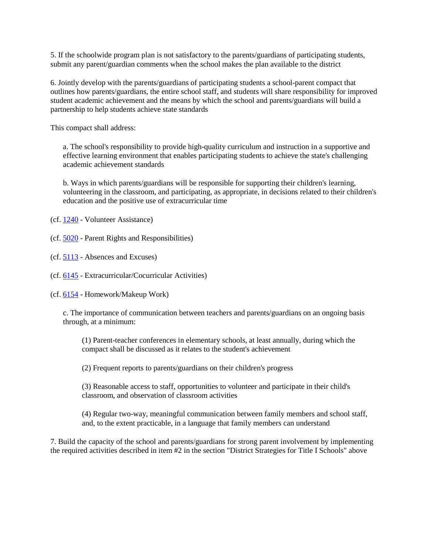5. If the schoolwide program plan is not satisfactory to the parents/guardians of participating students, submit any parent/guardian comments when the school makes the plan available to the district

6. Jointly develop with the parents/guardians of participating students a school-parent compact that outlines how parents/guardians, the entire school staff, and students will share responsibility for improved student academic achievement and the means by which the school and parents/guardians will build a partnership to help students achieve state standards

This compact shall address:

a. The school's responsibility to provide high-quality curriculum and instruction in a supportive and effective learning environment that enables participating students to achieve the state's challenging academic achievement standards

b. Ways in which parents/guardians will be responsible for supporting their children's learning, volunteering in the classroom, and participating, as appropriate, in decisions related to their children's education and the positive use of extracurricular time

(cf. [1240](http://gamutonline.net/displayPolicy/274258/6) - Volunteer Assistance)

- (cf. [5020](http://gamutonline.net/displayPolicy/288762/6) Parent Rights and Responsibilities)
- (cf. [5113](http://gamutonline.net/displayPolicy/171542/6) Absences and Excuses)
- (cf. [6145](http://gamutonline.net/displayPolicy/1075009/6) Extracurricular/Cocurricular Activities)
- (cf. [6154](http://gamutonline.net/displayPolicy/171663/6) Homework/Makeup Work)

c. The importance of communication between teachers and parents/guardians on an ongoing basis through, at a minimum:

(1) Parent-teacher conferences in elementary schools, at least annually, during which the compact shall be discussed as it relates to the student's achievement

(2) Frequent reports to parents/guardians on their children's progress

(3) Reasonable access to staff, opportunities to volunteer and participate in their child's classroom, and observation of classroom activities

(4) Regular two-way, meaningful communication between family members and school staff, and, to the extent practicable, in a language that family members can understand

7. Build the capacity of the school and parents/guardians for strong parent involvement by implementing the required activities described in item #2 in the section "District Strategies for Title I Schools" above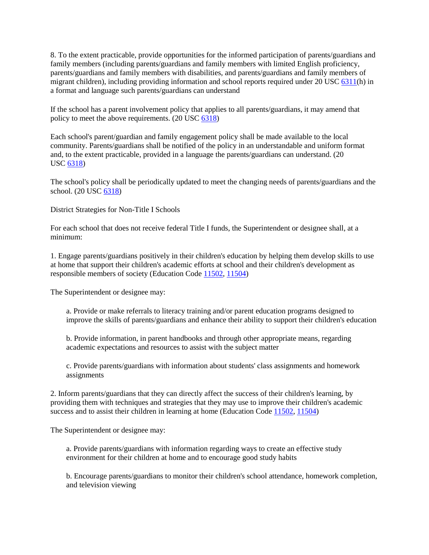8. To the extent practicable, provide opportunities for the informed participation of parents/guardians and family members (including parents/guardians and family members with limited English proficiency, parents/guardians and family members with disabilities, and parents/guardians and family members of migrant children), including providing information and school reports required under 20 USC [6311\(](http://gamutonline.net/displayPolicy/303162/6)h) in a format and language such parents/guardians can understand

If the school has a parent involvement policy that applies to all parents/guardians, it may amend that policy to meet the above requirements. (20 USC [6318\)](http://gamutonline.net/displayPolicy/302984/6)

Each school's parent/guardian and family engagement policy shall be made available to the local community. Parents/guardians shall be notified of the policy in an understandable and uniform format and, to the extent practicable, provided in a language the parents/guardians can understand. (20 USC [6318\)](http://gamutonline.net/displayPolicy/302984/6)

The school's policy shall be periodically updated to meet the changing needs of parents/guardians and the school. (20 USC [6318\)](http://gamutonline.net/displayPolicy/302984/6)

District Strategies for Non-Title I Schools

For each school that does not receive federal Title I funds, the Superintendent or designee shall, at a minimum:

1. Engage parents/guardians positively in their children's education by helping them develop skills to use at home that support their children's academic efforts at school and their children's development as responsible members of society (Education Code [11502,](http://gamutonline.net/displayPolicy/129641/6) [11504\)](http://gamutonline.net/displayPolicy/129643/6)

The Superintendent or designee may:

a. Provide or make referrals to literacy training and/or parent education programs designed to improve the skills of parents/guardians and enhance their ability to support their children's education

b. Provide information, in parent handbooks and through other appropriate means, regarding academic expectations and resources to assist with the subject matter

c. Provide parents/guardians with information about students' class assignments and homework assignments

2. Inform parents/guardians that they can directly affect the success of their children's learning, by providing them with techniques and strategies that they may use to improve their children's academic success and to assist their children in learning at home (Education Code [11502,](http://gamutonline.net/displayPolicy/129641/6) [11504\)](http://gamutonline.net/displayPolicy/129643/6)

The Superintendent or designee may:

a. Provide parents/guardians with information regarding ways to create an effective study environment for their children at home and to encourage good study habits

b. Encourage parents/guardians to monitor their children's school attendance, homework completion, and television viewing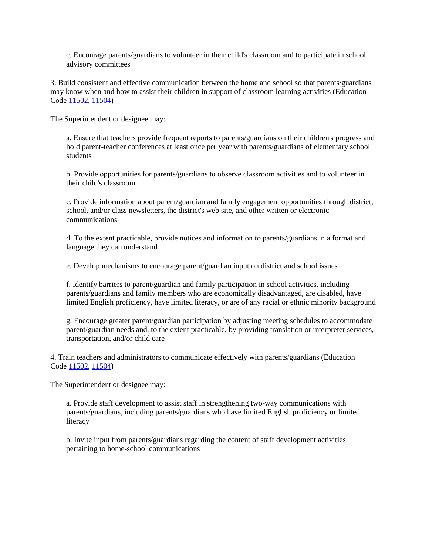c. Encourage parents/guardians to volunteer in their child's classroom and to participate in school advisory committees

3. Build consistent and effective communication between the home and school so that parents/guardians may know when and how to assist their children in support of classroom learning activities (Education Code [11502,](http://gamutonline.net/displayPolicy/129641/6) [11504\)](http://gamutonline.net/displayPolicy/129643/6)

The Superintendent or designee may:

a. Ensure that teachers provide frequent reports to parents/guardians on their children's progress and hold parent-teacher conferences at least once per year with parents/guardians of elementary school students

b. Provide opportunities for parents/guardians to observe classroom activities and to volunteer in their child's classroom

c. Provide information about parent/guardian and family engagement opportunities through district, school, and/or class newsletters, the district's web site, and other written or electronic communications

d. To the extent practicable, provide notices and information to parents/guardians in a format and language they can understand

e. Develop mechanisms to encourage parent/guardian input on district and school issues

f. Identify barriers to parent/guardian and family participation in school activities, including parents/guardians and family members who are economically disadvantaged, are disabled, have limited English proficiency, have limited literacy, or are of any racial or ethnic minority background

g. Encourage greater parent/guardian participation by adjusting meeting schedules to accommodate parent/guardian needs and, to the extent practicable, by providing translation or interpreter services, transportation, and/or child care

4. Train teachers and administrators to communicate effectively with parents/guardians (Education Code [11502,](http://gamutonline.net/displayPolicy/129641/6) [11504\)](http://gamutonline.net/displayPolicy/129643/6)

The Superintendent or designee may:

a. Provide staff development to assist staff in strengthening two-way communications with parents/guardians, including parents/guardians who have limited English proficiency or limited literacy

b. Invite input from parents/guardians regarding the content of staff development activities pertaining to home-school communications